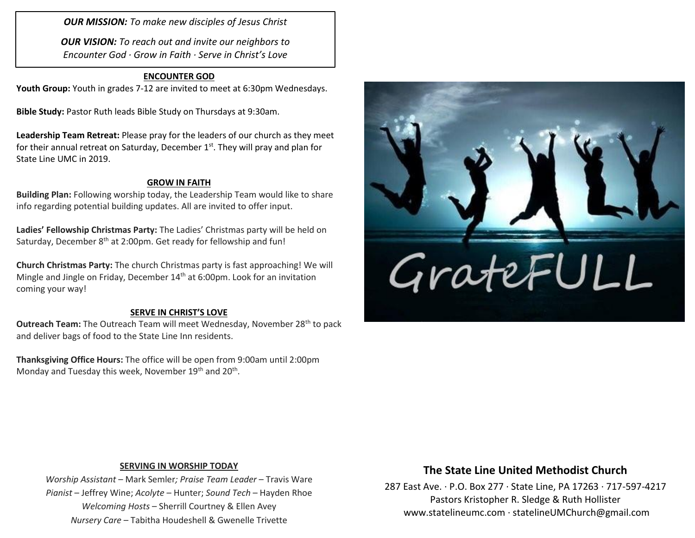*OUR MISSION: To make new disciples of Jesus Christ*

*OUR VISION: To reach out and invite our neighbors to Encounter God · Grow in Faith · Serve in Christ's Love*

#### **ENCOUNTER GOD**

**Youth Group:** Youth in grades 7-12 are invited to meet at 6:30pm Wednesdays.

**Bible Study:** Pastor Ruth leads Bible Study on Thursdays at 9:30am.

**Leadership Team Retreat:** Please pray for the leaders of our church as they meet for their annual retreat on Saturday, December 1<sup>st</sup>. They will pray and plan for State Line UMC in 2019.

#### **GROW IN FAITH**

**Building Plan:** Following worship today, the Leadership Team would like to share info regarding potential building updates. All are invited to offer input.

**Ladies' Fellowship Christmas Party:** The Ladies' Christmas party will be held on Saturday, December 8<sup>th</sup> at 2:00pm. Get ready for fellowship and fun!

**Church Christmas Party:** The church Christmas party is fast approaching! We will Mingle and Jingle on Friday, December 14<sup>th</sup> at 6:00pm. Look for an invitation coming your way!

#### **SERVE IN CHRIST'S LOVE**

**Outreach Team:** The Outreach Team will meet Wednesday, November 28<sup>th</sup> to pack and deliver bags of food to the State Line Inn residents.

**Thanksgiving Office Hours:** The office will be open from 9:00am until 2:00pm Monday and Tuesday this week, November 19<sup>th</sup> and 20<sup>th</sup>.



#### **SERVING IN WORSHIP TODAY**

*Worship Assistant* – Mark Semler*; Praise Team Leader* – Travis Ware *Pianist* – Jeffrey Wine; *Acolyte* – Hunter; *Sound Tech* – Hayden Rhoe *Welcoming Hosts* – Sherrill Courtney & Ellen Avey *Nursery Care* – Tabitha Houdeshell & Gwenelle Trivette

### **The State Line United Methodist Church**

287 East Ave. · P.O. Box 277 · State Line, PA 17263 · 717-597-4217 Pastors Kristopher R. Sledge & Ruth Hollister [www.statelineumc.com](http://www.statelineumc.com/) · statelineUMChurch@gmail.com